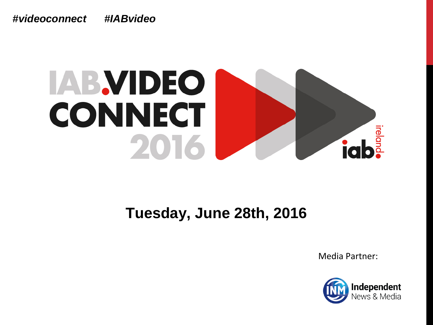*#videoconnect #IABvideo*

### **IAB.VIDEO CONNECT** ireland 2016

#### **Tuesday, June 28th, 2016**

Media Partner:

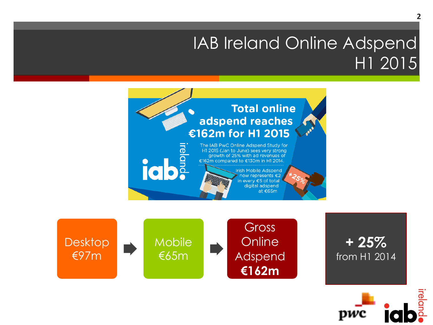#### IAB Ireland Online Adspend H1 2015





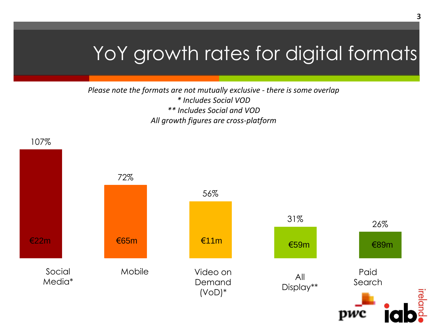### YoY growth rates for digital formats

#### *Please note the formats are not mutually exclusive - there is some overlap \* Includes Social VOD \*\* Includes Social and VOD All growth figures are cross-platform*

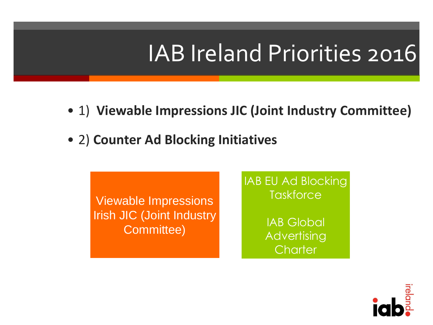## IAB Ireland Priorities 2016

- 1) **Viewable Impressions JIC (Joint Industry Committee)**
- 2) **Counter Ad Blocking Initiatives**

Viewable Impressions Irish JIC (Joint Industry Committee)

IAB EU Ad Blocking **Taskforce** 

> IAB Global **Advertising Charter**

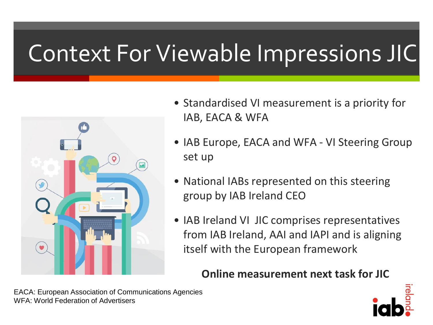## Context For Viewable Impressions JIC



- Standardised VI measurement is a priority for IAB, EACA & WFA
- IAB Europe, EACA and WFA VI Steering Group set up
- National IABs represented on this steering group by IAB Ireland CEO
- IAB Ireland VI JIC comprises representatives from IAB Ireland, AAI and IAPI and is aligning itself with the European framework

**Online measurement next task for JIC**



EACA: European Association of Communications Agencies WFA: World Federation of Advertisers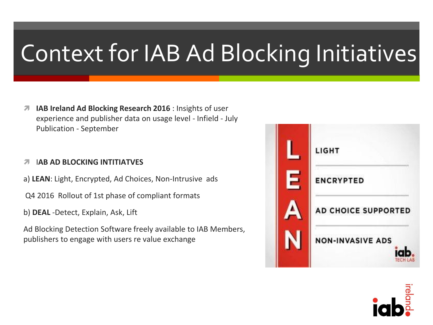# Context for IAB Ad Blocking Initiatives

**IAB Ireland Ad Blocking Research 2016** : Insights of user experience and publisher data on usage level - Infield - July Publication - September

#### *A* IAB AD BLOCKING INTITIATVES

a) **LEAN**: Light, Encrypted, Ad Choices, Non-Intrusive ads

Q4 2016 Rollout of 1st phase of compliant formats

b) **DEAL** -Detect, Explain, Ask, Lift

Ad Blocking Detection Software freely available to IAB Members, publishers to engage with users re value exchange



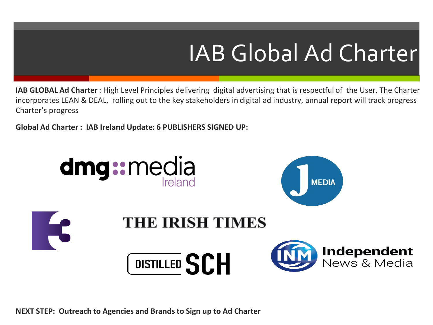# IAB Global Ad Charter

**IAB GLOBAL Ad Charter** : High Level Principles delivering digital advertising that is respectful of the User. The Charter incorporates LEAN & DEAL, rolling out to the key stakeholders in digital ad industry, annual report will track progress Charter's progress

**Global Ad Charter : IAB Ireland Update: 6 PUBLISHERS SIGNED UP:**